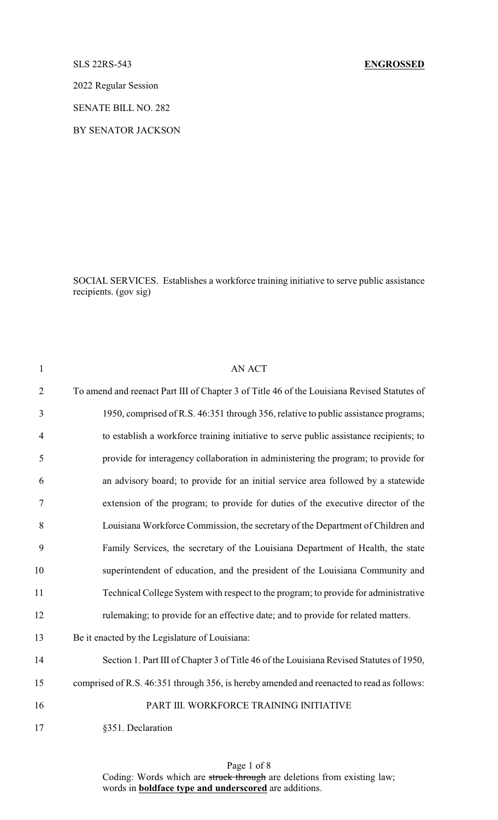## SLS 22RS-543 **ENGROSSED**

2022 Regular Session

SENATE BILL NO. 282

BY SENATOR JACKSON

SOCIAL SERVICES. Establishes a workforce training initiative to serve public assistance recipients. (gov sig)

| $\mathbf{1}$   | <b>AN ACT</b>                                                                               |
|----------------|---------------------------------------------------------------------------------------------|
| $\overline{2}$ | To amend and reenact Part III of Chapter 3 of Title 46 of the Louisiana Revised Statutes of |
| 3              | 1950, comprised of R.S. 46:351 through 356, relative to public assistance programs;         |
| $\overline{4}$ | to establish a workforce training initiative to serve public assistance recipients; to      |
| 5              | provide for interagency collaboration in administering the program; to provide for          |
| 6              | an advisory board; to provide for an initial service area followed by a statewide           |
| $\tau$         | extension of the program; to provide for duties of the executive director of the            |
| 8              | Louisiana Workforce Commission, the secretary of the Department of Children and             |
| 9              | Family Services, the secretary of the Louisiana Department of Health, the state             |
| 10             | superintendent of education, and the president of the Louisiana Community and               |
| 11             | Technical College System with respect to the program; to provide for administrative         |
| 12             | rulemaking; to provide for an effective date; and to provide for related matters.           |
| 13             | Be it enacted by the Legislature of Louisiana:                                              |
| 14             | Section 1. Part III of Chapter 3 of Title 46 of the Louisiana Revised Statutes of 1950,     |
| 15             | comprised of R.S. 46:351 through 356, is hereby amended and reenacted to read as follows:   |
| 16             | PART III. WORKFORCE TRAINING INITIATIVE                                                     |
| 17             | §351. Declaration                                                                           |

Page 1 of 8 Coding: Words which are struck through are deletions from existing law; words in **boldface type and underscored** are additions.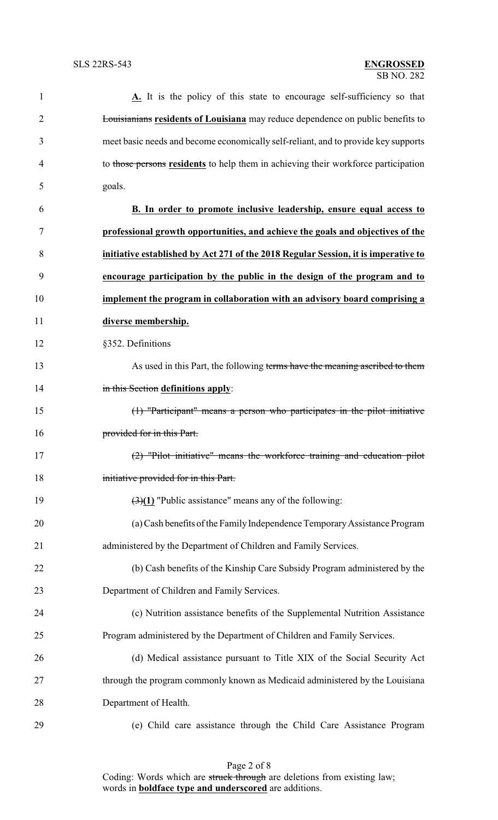| 1              | A. It is the policy of this state to encourage self-sufficiency so that                |
|----------------|----------------------------------------------------------------------------------------|
| $\overline{2}$ | <b>Louisianians residents of Louisiana</b> may reduce dependence on public benefits to |
| 3              | meet basic needs and become economically self-reliant, and to provide key supports     |
| 4              | to those persons residents to help them in achieving their workforce participation     |
| 5              | goals.                                                                                 |
| 6              | B. In order to promote inclusive leadership, ensure equal access to                    |
| 7              | professional growth opportunities, and achieve the goals and objectives of the         |
| 8              | initiative established by Act 271 of the 2018 Regular Session, it is imperative to     |
| 9              | encourage participation by the public in the design of the program and to              |
| 10             | implement the program in collaboration with an advisory board comprising a             |
| 11             | diverse membership.                                                                    |
| 12             | §352. Definitions                                                                      |
| 13             | As used in this Part, the following terms have the meaning ascribed to them            |
| 14             | in this Section definitions apply:                                                     |
| 15             | (1) "Participant" means a person who participates in the pilot initiative              |
| 16             | provided for in this Part.                                                             |
| 17             | (2) "Pilot initiative" means the workforce training and education pilot                |
| 18             | initiative provided for in this Part.                                                  |
| 19             | $\left(\frac{3}{1}\right)$ "Public assistance" means any of the following:             |
| 20             | (a) Cash benefits of the Family Independence Temporary Assistance Program              |
| 21             | administered by the Department of Children and Family Services.                        |
| 22             | (b) Cash benefits of the Kinship Care Subsidy Program administered by the              |
| 23             | Department of Children and Family Services.                                            |
| 24             | (c) Nutrition assistance benefits of the Supplemental Nutrition Assistance             |
| 25             | Program administered by the Department of Children and Family Services.                |
| 26             | (d) Medical assistance pursuant to Title XIX of the Social Security Act                |
| 27             | through the program commonly known as Medicaid administered by the Louisiana           |
| 28             | Department of Health.                                                                  |
| 29             | (e) Child care assistance through the Child Care Assistance Program                    |

Page 2 of 8 Coding: Words which are struck through are deletions from existing law; words in **boldface type and underscored** are additions.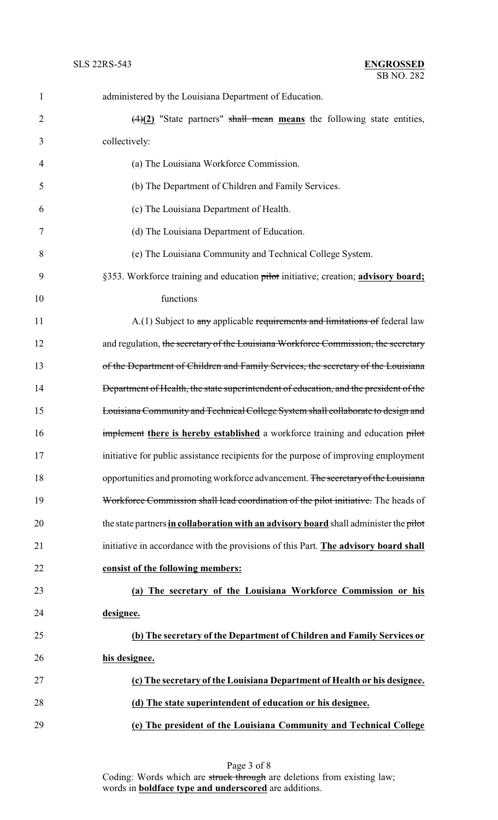| $\mathbf{1}$   | administered by the Louisiana Department of Education.                                |
|----------------|---------------------------------------------------------------------------------------|
| $\overline{2}$ | $\frac{4}{2}$ "State partners" shall mean means the following state entities,         |
| 3              | collectively:                                                                         |
| 4              | (a) The Louisiana Workforce Commission.                                               |
| 5              | (b) The Department of Children and Family Services.                                   |
| 6              | (c) The Louisiana Department of Health.                                               |
| 7              | (d) The Louisiana Department of Education.                                            |
| 8              | (e) The Louisiana Community and Technical College System.                             |
| 9              | §353. Workforce training and education pilot initiative; creation; advisory board;    |
| 10             | functions                                                                             |
| 11             | A.(1) Subject to any applicable requirements and limitations of federal law           |
| 12             | and regulation, the secretary of the Louisiana Workforce Commission, the secretary    |
| 13             | of the Department of Children and Family Services, the secretary of the Louisiana     |
| 14             | Department of Health, the state superintendent of education, and the president of the |
| 15             | Louisiana Community and Technical College System shall collaborate to design and      |
| 16             | implement there is hereby established a workforce training and education pilot        |
| 17             | initiative for public assistance recipients for the purpose of improving employment   |
| 18             | opportunities and promoting workforce advancement. The secretary of the Louisiana     |
| 19             | Workforce Commission shall lead coordination of the pilot initiative. The heads of    |
| 20             | the state partners in collaboration with an advisory board shall administer the pilot |
| 21             | initiative in accordance with the provisions of this Part. The advisory board shall   |
| 22             | consist of the following members:                                                     |
| 23             | (a) The secretary of the Louisiana Workforce Commission or his                        |
| 24             | designee.                                                                             |
| 25             | (b) The secretary of the Department of Children and Family Services or                |
| 26             | his designee.                                                                         |
| 27             | (c) The secretary of the Louisiana Department of Health or his designee.              |
| 28             | (d) The state superintendent of education or his designee.                            |
| 29             | (e) The president of the Louisiana Community and Technical College                    |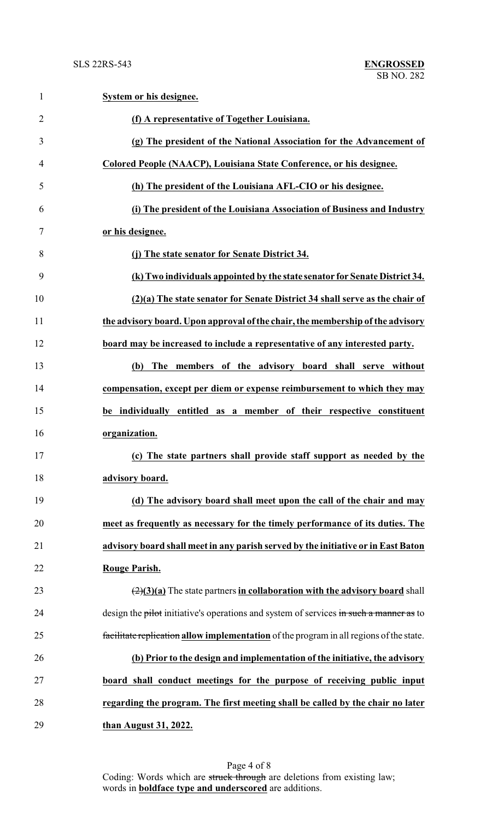| $\mathbf{1}$   | System or his designee.                                                                         |
|----------------|-------------------------------------------------------------------------------------------------|
| $\overline{2}$ | (f) A representative of Together Louisiana.                                                     |
| 3              | (g) The president of the National Association for the Advancement of                            |
| 4              | Colored People (NAACP), Louisiana State Conference, or his designee.                            |
| 5              | (h) The president of the Louisiana AFL-CIO or his designee.                                     |
| 6              | (i) The president of the Louisiana Association of Business and Industry                         |
| 7              | or his designee.                                                                                |
| 8              | (j) The state senator for Senate District 34.                                                   |
| 9              | (k) Two individuals appointed by the state senator for Senate District 34.                      |
| 10             | (2)(a) The state senator for Senate District 34 shall serve as the chair of                     |
| 11             | the advisory board. Upon approval of the chair, the membership of the advisory                  |
| 12             | board may be increased to include a representative of any interested party.                     |
| 13             | The members of the advisory board shall serve without<br>(b)                                    |
| 14             | compensation, except per diem or expense reimbursement to which they may                        |
| 15             | be individually entitled as a member of their respective constituent                            |
| 16             | organization.                                                                                   |
| 17             | (c) The state partners shall provide staff support as needed by the                             |
| 18             | advisory board.                                                                                 |
| 19             | (d) The advisory board shall meet upon the call of the chair and may                            |
| 20             | meet as frequently as necessary for the timely performance of its duties. The                   |
| 21             | advisory board shall meet in any parish served by the initiative or in East Baton               |
| 22             | Rouge Parish.                                                                                   |
| 23             | $\left(\frac{2}{3}\right)(a)$ The state partners in collaboration with the advisory board shall |
| 24             | design the pilot initiative's operations and system of services in such a manner as to          |
| 25             | facilitate replication allow implementation of the program in all regions of the state.         |
| 26             | (b) Prior to the design and implementation of the initiative, the advisory                      |
| 27             | board shall conduct meetings for the purpose of receiving public input                          |
| 28             | regarding the program. The first meeting shall be called by the chair no later                  |
| 29             | than August 31, 2022.                                                                           |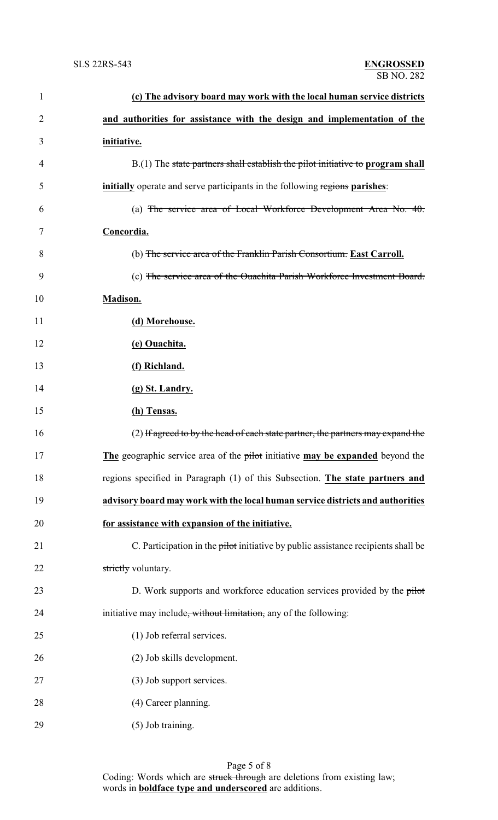| $\mathbf{1}$   | (c) The advisory board may work with the local human service districts             |
|----------------|------------------------------------------------------------------------------------|
| $\overline{2}$ | and authorities for assistance with the design and implementation of the           |
| 3              | <i>initiative.</i>                                                                 |
| 4              | $B(1)$ The state partners shall establish the pilot initiative to program shall    |
| 5              | <b>initially</b> operate and serve participants in the following regions parishes: |
| 6              | (a) The service area of Local Workforce Development Area No. $40$ .                |
| 7              | Concordia.                                                                         |
| 8              | (b) The service area of the Franklin Parish Consortium. East Carroll.              |
| 9              | (c) The service area of the Ouachita Parish Workforce Investment Board.            |
| 10             | <b>Madison.</b>                                                                    |
| 11             | (d) Morehouse.                                                                     |
| 12             | (e) Ouachita.                                                                      |
| 13             | (f) Richland.                                                                      |
| 14             | (g) St. Landry.                                                                    |
| 15             | (h) Tensas.                                                                        |
| 16             | (2) If agreed to by the head of each state partner, the partners may expand the    |
| 17             | The geographic service area of the pilot initiative may be expanded beyond the     |
| 18             | regions specified in Paragraph (1) of this Subsection. The state partners and      |
| 19             | advisory board may work with the local human service districts and authorities     |
| 20             | for assistance with expansion of the initiative.                                   |
| 21             | C. Participation in the pilot initiative by public assistance recipients shall be  |
| 22             | strictly voluntary.                                                                |
| 23             | D. Work supports and workforce education services provided by the pilot            |
| 24             | initiative may include <del>, without limitation,</del> any of the following:      |
| 25             | (1) Job referral services.                                                         |
| 26             | (2) Job skills development.                                                        |
| 27             | (3) Job support services.                                                          |
| 28             | (4) Career planning.                                                               |
| 29             | (5) Job training.                                                                  |

Page 5 of 8 Coding: Words which are struck through are deletions from existing law; words in **boldface type and underscored** are additions.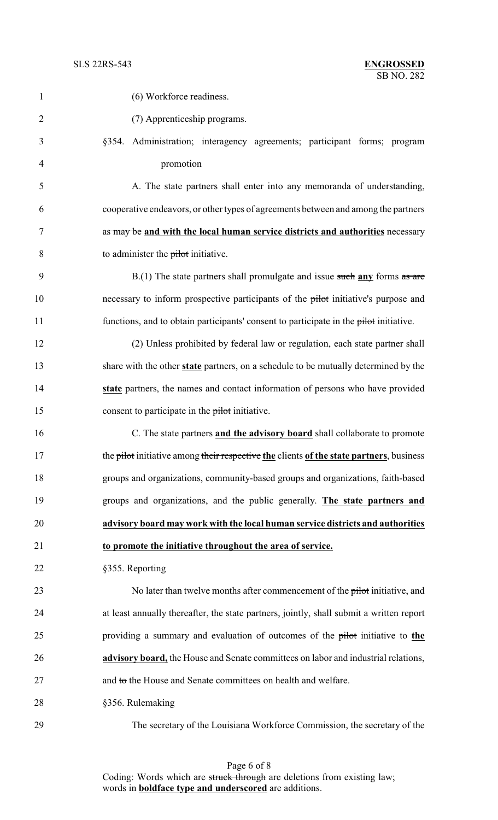| $\mathbf{1}$   | (6) Workforce readiness.                                                                 |
|----------------|------------------------------------------------------------------------------------------|
| $\overline{2}$ | (7) Apprenticeship programs.                                                             |
| 3              | §354. Administration; interagency agreements; participant forms; program                 |
| $\overline{4}$ | promotion                                                                                |
| 5              | A. The state partners shall enter into any memoranda of understanding,                   |
| 6              | cooperative endeavors, or other types of agreements between and among the partners       |
| 7              | as may be and with the local human service districts and authorities necessary           |
| 8              | to administer the pilot initiative.                                                      |
| 9              | $B(1)$ The state partners shall promulgate and issue such any forms as are               |
| 10             | necessary to inform prospective participants of the pilot initiative's purpose and       |
| 11             | functions, and to obtain participants' consent to participate in the pilot initiative.   |
| 12             | (2) Unless prohibited by federal law or regulation, each state partner shall             |
| 13             | share with the other state partners, on a schedule to be mutually determined by the      |
| 14             | state partners, the names and contact information of persons who have provided           |
| 15             | consent to participate in the pilot initiative.                                          |
| 16             | C. The state partners and the advisory board shall collaborate to promote                |
| 17             | the pilot initiative among their respective the clients of the state partners, business  |
| 18             | groups and organizations, community-based groups and organizations, faith-based          |
| 19             | groups and organizations, and the public generally. The state partners and               |
| 20             | advisory board may work with the local human service districts and authorities           |
| 21             | to promote the initiative throughout the area of service.                                |
| 22             | §355. Reporting                                                                          |
| 23             | No later than twelve months after commencement of the pilot initiative, and              |
| 24             | at least annually thereafter, the state partners, jointly, shall submit a written report |
| 25             | providing a summary and evaluation of outcomes of the pilot initiative to the            |
| 26             | advisory board, the House and Senate committees on labor and industrial relations,       |
| 27             | and to the House and Senate committees on health and welfare.                            |
| 28             | §356. Rulemaking                                                                         |
|                |                                                                                          |

The secretary of the Louisiana Workforce Commission, the secretary of the

Page 6 of 8 Coding: Words which are struck through are deletions from existing law; words in **boldface type and underscored** are additions.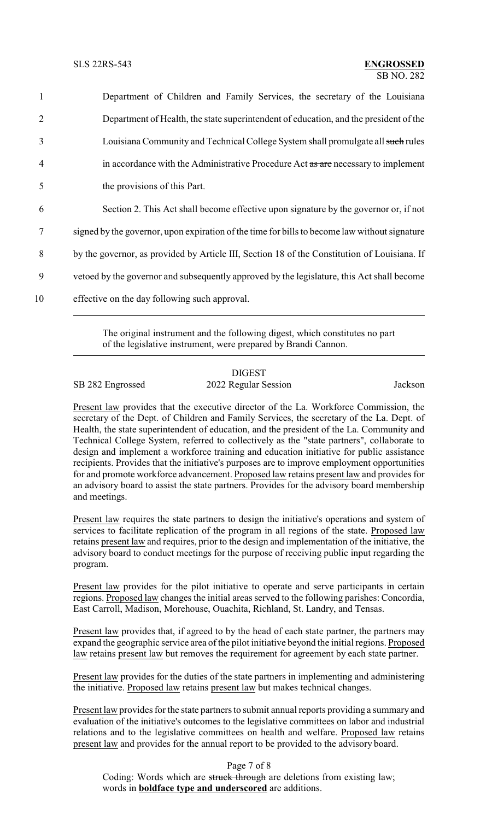| $\mathbf{1}$   | Department of Children and Family Services, the secretary of the Louisiana                    |
|----------------|-----------------------------------------------------------------------------------------------|
| 2              | Department of Health, the state superintendent of education, and the president of the         |
| $\overline{3}$ | Louisiana Community and Technical College System shall promulgate all such rules              |
| $\overline{4}$ | in accordance with the Administrative Procedure Act as are necessary to implement             |
| 5              | the provisions of this Part.                                                                  |
| 6              | Section 2. This Act shall become effective upon signature by the governor or, if not          |
| 7              | signed by the governor, upon expiration of the time for bills to become law without signature |
| 8              | by the governor, as provided by Article III, Section 18 of the Constitution of Louisiana. If  |
| 9              | vetoed by the governor and subsequently approved by the legislature, this Act shall become    |
| 10             | effective on the day following such approval.                                                 |

The original instrument and the following digest, which constitutes no part of the legislative instrument, were prepared by Brandi Cannon.

## DIGEST SB 282 Engrossed 2022 Regular Session Jackson

Present law provides that the executive director of the La. Workforce Commission, the secretary of the Dept. of Children and Family Services, the secretary of the La. Dept. of Health, the state superintendent of education, and the president of the La. Community and Technical College System, referred to collectively as the "state partners", collaborate to design and implement a workforce training and education initiative for public assistance recipients. Provides that the initiative's purposes are to improve employment opportunities for and promote workforce advancement. Proposed law retains present law and provides for an advisory board to assist the state partners. Provides for the advisory board membership and meetings.

Present law requires the state partners to design the initiative's operations and system of services to facilitate replication of the program in all regions of the state. Proposed law retains present law and requires, prior to the design and implementation of the initiative, the advisory board to conduct meetings for the purpose of receiving public input regarding the program.

Present law provides for the pilot initiative to operate and serve participants in certain regions. Proposed law changes the initial areas served to the following parishes: Concordia, East Carroll, Madison, Morehouse, Ouachita, Richland, St. Landry, and Tensas.

Present law provides that, if agreed to by the head of each state partner, the partners may expand the geographic service area of the pilot initiative beyond the initial regions. Proposed law retains present law but removes the requirement for agreement by each state partner.

Present law provides for the duties of the state partners in implementing and administering the initiative. Proposed law retains present law but makes technical changes.

Present law provides for the state partners to submit annual reports providing a summary and evaluation of the initiative's outcomes to the legislative committees on labor and industrial relations and to the legislative committees on health and welfare. Proposed law retains present law and provides for the annual report to be provided to the advisory board.

Page 7 of 8

Coding: Words which are struck through are deletions from existing law; words in **boldface type and underscored** are additions.